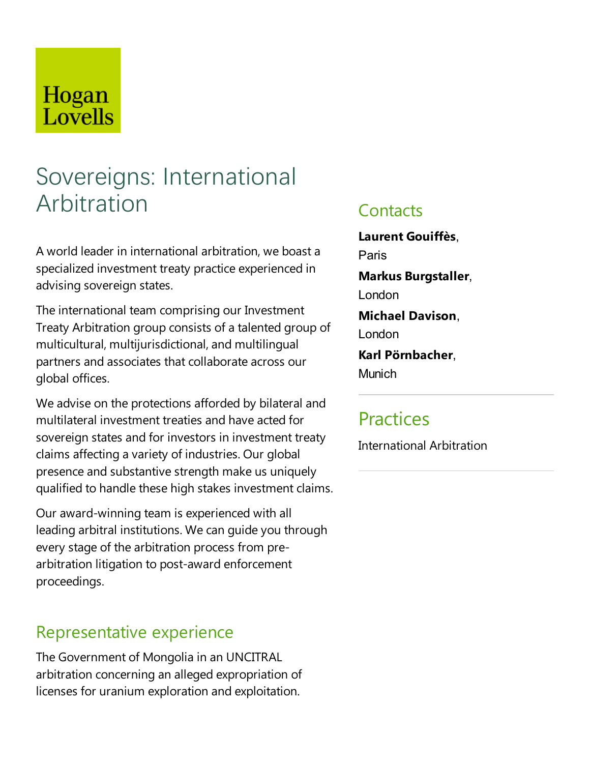## Hogan Lovells

# Sovereigns: International Arbitration

A world leader in international arbitration, we boasta specialized investment treaty practice experienced in advising sovereign states.

The international team comprising our Investment Treaty Arbitration group consists of a talented group of multicultural, multijurisdictional,and multilingual partners and associates that collaborate across our global offices.

We advise on the protections afforded by bilateral and multilateral investment treaties and have acted for sovereign states and for investors in investment treaty claims affecting avariety of industries. Our global presence and substantive strength make us uniquely qualified to handle these high stakes investment claims.

Our award-winning team is experienced with all leading arbitral institutions. We can quide you through every stage of the arbitration process from prearbitration litigation to post-award enforcement proceedings.

### Representative experience

The Government of Mongolia in an UNCITRAL arbitration concerning an alleged expropriation of licenses for uranium exploration and exploitation.

### **Contacts**

**Laurent Gouiffès**, Paris **Markus Burgstaller**, London **Michael Davison**, London

**Karl Pörnbacher**, Munich

### **Practices**

International Arbitration